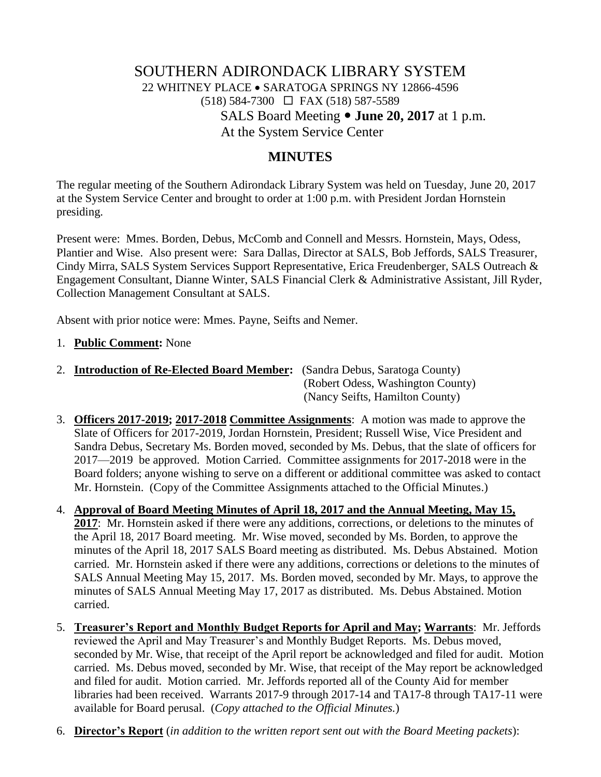# SOUTHERN ADIRONDACK LIBRARY SYSTEM 22 WHITNEY PLACE SARATOGA SPRINGS NY 12866-4596  $(518)$  584-7300  $\Box$  FAX (518) 587-5589 SALS Board Meeting **June 20, 2017** at 1 p.m. At the System Service Center

#### **MINUTES**

The regular meeting of the Southern Adirondack Library System was held on Tuesday, June 20, 2017 at the System Service Center and brought to order at 1:00 p.m. with President Jordan Hornstein presiding.

Present were: Mmes. Borden, Debus, McComb and Connell and Messrs. Hornstein, Mays, Odess, Plantier and Wise. Also present were: Sara Dallas, Director at SALS, Bob Jeffords, SALS Treasurer, Cindy Mirra, SALS System Services Support Representative, Erica Freudenberger, SALS Outreach & Engagement Consultant, Dianne Winter, SALS Financial Clerk & Administrative Assistant, Jill Ryder, Collection Management Consultant at SALS.

Absent with prior notice were: Mmes. Payne, Seifts and Nemer.

- 1. **Public Comment:** None
- 2. **Introduction of Re-Elected Board Member:** (Sandra Debus, Saratoga County) (Robert Odess, Washington County) (Nancy Seifts, Hamilton County)
- 3. **Officers 2017-2019; 2017-2018 Committee Assignments**: A motion was made to approve the Slate of Officers for 2017-2019, Jordan Hornstein, President; Russell Wise, Vice President and Sandra Debus, Secretary Ms. Borden moved, seconded by Ms. Debus, that the slate of officers for 2017—2019 be approved. Motion Carried. Committee assignments for 2017-2018 were in the Board folders; anyone wishing to serve on a different or additional committee was asked to contact Mr. Hornstein. (Copy of the Committee Assignments attached to the Official Minutes.)
- 4. **Approval of Board Meeting Minutes of April 18, 2017 and the Annual Meeting, May 15, 2017**: Mr. Hornstein asked if there were any additions, corrections, or deletions to the minutes of the April 18, 2017 Board meeting. Mr. Wise moved, seconded by Ms. Borden, to approve the minutes of the April 18, 2017 SALS Board meeting as distributed. Ms. Debus Abstained. Motion carried. Mr. Hornstein asked if there were any additions, corrections or deletions to the minutes of SALS Annual Meeting May 15, 2017. Ms. Borden moved, seconded by Mr. Mays, to approve the minutes of SALS Annual Meeting May 17, 2017 as distributed. Ms. Debus Abstained. Motion carried.
- 5. **Treasurer's Report and Monthly Budget Reports for April and May; Warrants**: Mr. Jeffords reviewed the April and May Treasurer's and Monthly Budget Reports. Ms. Debus moved, seconded by Mr. Wise, that receipt of the April report be acknowledged and filed for audit. Motion carried. Ms. Debus moved, seconded by Mr. Wise, that receipt of the May report be acknowledged and filed for audit. Motion carried. Mr. Jeffords reported all of the County Aid for member libraries had been received. Warrants 2017-9 through 2017-14 and TA17-8 through TA17-11 were available for Board perusal. (*Copy attached to the Official Minutes.*)
- 6. **Director's Report** (*in addition to the written report sent out with the Board Meeting packets*):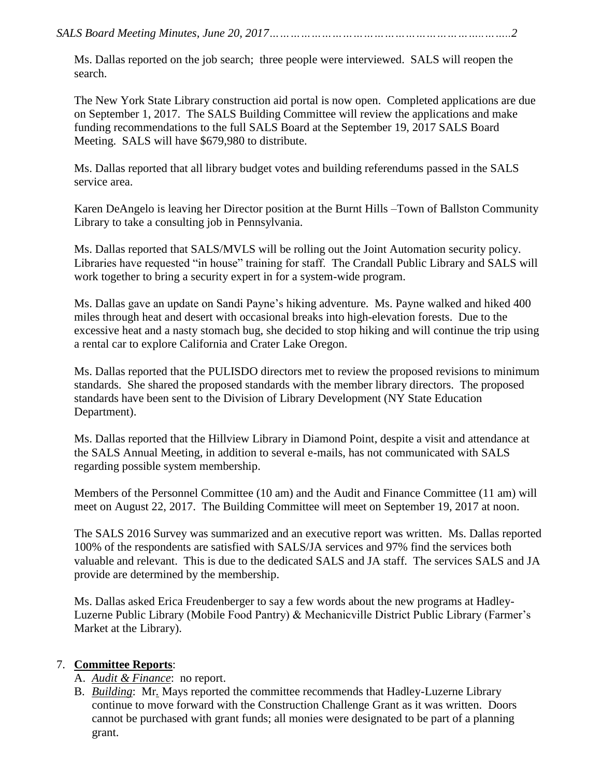Ms. Dallas reported on the job search; three people were interviewed. SALS will reopen the search.

The New York State Library construction aid portal is now open. Completed applications are due on September 1, 2017. The SALS Building Committee will review the applications and make funding recommendations to the full SALS Board at the September 19, 2017 SALS Board Meeting. SALS will have \$679,980 to distribute.

Ms. Dallas reported that all library budget votes and building referendums passed in the SALS service area.

Karen DeAngelo is leaving her Director position at the Burnt Hills –Town of Ballston Community Library to take a consulting job in Pennsylvania.

Ms. Dallas reported that SALS/MVLS will be rolling out the Joint Automation security policy. Libraries have requested "in house" training for staff. The Crandall Public Library and SALS will work together to bring a security expert in for a system-wide program.

Ms. Dallas gave an update on Sandi Payne's hiking adventure. Ms. Payne walked and hiked 400 miles through heat and desert with occasional breaks into high-elevation forests. Due to the excessive heat and a nasty stomach bug, she decided to stop hiking and will continue the trip using a rental car to explore California and Crater Lake Oregon.

Ms. Dallas reported that the PULISDO directors met to review the proposed revisions to minimum standards. She shared the proposed standards with the member library directors. The proposed standards have been sent to the Division of Library Development (NY State Education Department).

Ms. Dallas reported that the Hillview Library in Diamond Point, despite a visit and attendance at the SALS Annual Meeting, in addition to several e-mails, has not communicated with SALS regarding possible system membership.

Members of the Personnel Committee (10 am) and the Audit and Finance Committee (11 am) will meet on August 22, 2017. The Building Committee will meet on September 19, 2017 at noon.

The SALS 2016 Survey was summarized and an executive report was written. Ms. Dallas reported 100% of the respondents are satisfied with SALS/JA services and 97% find the services both valuable and relevant. This is due to the dedicated SALS and JA staff. The services SALS and JA provide are determined by the membership.

Ms. Dallas asked Erica Freudenberger to say a few words about the new programs at Hadley-Luzerne Public Library (Mobile Food Pantry) & Mechanicville District Public Library (Farmer's Market at the Library).

#### 7. **Committee Reports**:

- A. *Audit & Finance*: no report.
- B. *Building*: Mr*.* Mays reported the committee recommends that Hadley-Luzerne Library continue to move forward with the Construction Challenge Grant as it was written. Doors cannot be purchased with grant funds; all monies were designated to be part of a planning grant.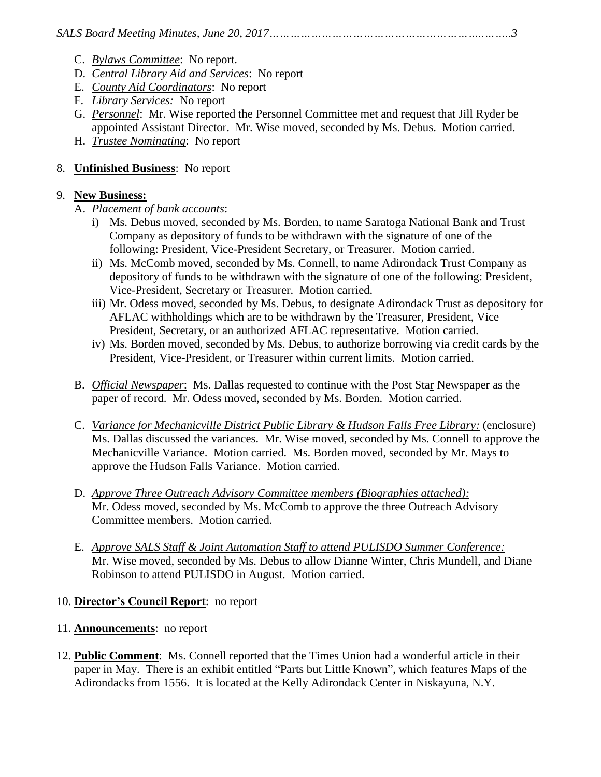- C. *Bylaws Committee*: No report.
- D. *Central Library Aid and Services*: No report
- E. *County Aid Coordinators*: No report
- F. *Library Services:* No report
- G. *Personnel*: Mr. Wise reported the Personnel Committee met and request that Jill Ryder be appointed Assistant Director. Mr. Wise moved, seconded by Ms. Debus. Motion carried.
- H. *Trustee Nominating*: No report

# 8. **Unfinished Business**: No report

#### 9. **New Business:**

- A. *Placement of bank accounts*:
	- i) Ms. Debus moved, seconded by Ms. Borden, to name Saratoga National Bank and Trust Company as depository of funds to be withdrawn with the signature of one of the following: President, Vice-President Secretary, or Treasurer. Motion carried.
	- ii) Ms. McComb moved, seconded by Ms. Connell, to name Adirondack Trust Company as depository of funds to be withdrawn with the signature of one of the following: President, Vice-President, Secretary or Treasurer. Motion carried.
	- iii) Mr. Odess moved, seconded by Ms. Debus, to designate Adirondack Trust as depository for AFLAC withholdings which are to be withdrawn by the Treasurer, President, Vice President, Secretary, or an authorized AFLAC representative. Motion carried.
	- iv) Ms. Borden moved, seconded by Ms. Debus, to authorize borrowing via credit cards by the President, Vice-President, or Treasurer within current limits. Motion carried.
- B. *Official Newspaper*: Ms. Dallas requested to continue with the Post Star Newspaper as the paper of record. Mr. Odess moved, seconded by Ms. Borden. Motion carried.
- C. *Variance for Mechanicville District Public Library & Hudson Falls Free Library:* (enclosure) Ms. Dallas discussed the variances. Mr. Wise moved, seconded by Ms. Connell to approve the Mechanicville Variance. Motion carried. Ms. Borden moved, seconded by Mr. Mays to approve the Hudson Falls Variance. Motion carried.
- D. *Approve Three Outreach Advisory Committee members (Biographies attached):* Mr. Odess moved, seconded by Ms. McComb to approve the three Outreach Advisory Committee members. Motion carried.
- E. *Approve SALS Staff & Joint Automation Staff to attend PULISDO Summer Conference:* Mr. Wise moved, seconded by Ms. Debus to allow Dianne Winter, Chris Mundell, and Diane Robinson to attend PULISDO in August. Motion carried.

# 10. **Director's Council Report**: no report

# 11. **Announcements**: no report

12. **Public Comment**: Ms. Connell reported that the Times Union had a wonderful article in their paper in May. There is an exhibit entitled "Parts but Little Known", which features Maps of the Adirondacks from 1556. It is located at the Kelly Adirondack Center in Niskayuna, N.Y.